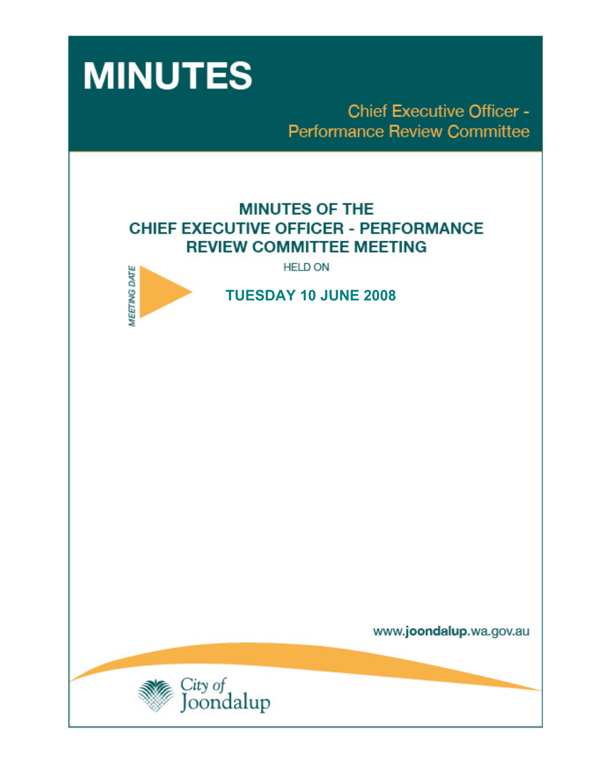

**Chief Executive Officer -Performance Review Committee** 

# **MINUTES OF THE CHIEF EXECUTIVE OFFICER - PERFORMANCE REVIEW COMMITTEE MEETING**

**HELD ON** 



 **TUESDAY 10 JUNE 2008** 

www.joondalup.wa.gov.au

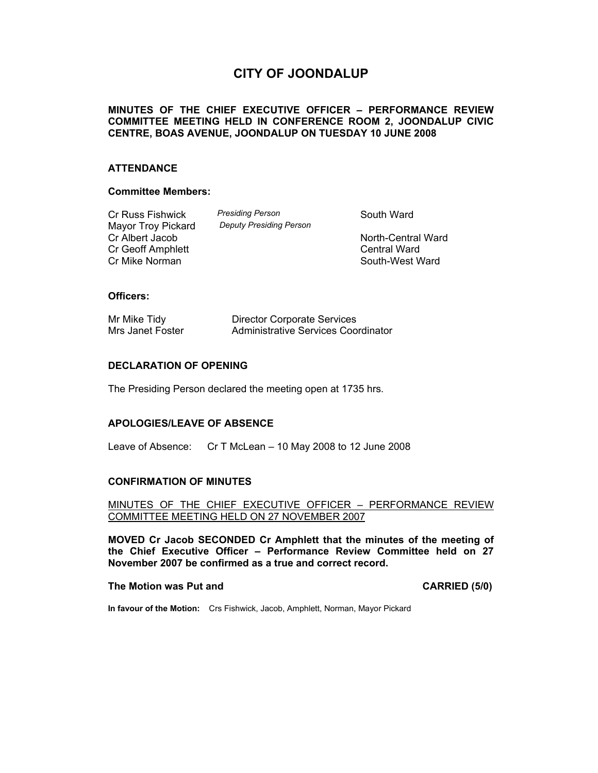# **CITY OF JOONDALUP**

#### **MINUTES OF THE CHIEF EXECUTIVE OFFICER – PERFORMANCE REVIEW COMMITTEE MEETING HELD IN CONFERENCE ROOM 2, JOONDALUP CIVIC CENTRE, BOAS AVENUE, JOONDALUP ON TUESDAY 10 JUNE 2008**

#### **ATTENDANCE**

#### **Committee Members:**

Cr Russ Fishwick *Presiding Person* **Presiding Person** South Ward Mard Mand Mand Cheapty Presiding Person **Mayor Troy Pickard** Cr Albert Jacob North-Central Ward Cr Geoff Amphlett **Creating Central Ward** Central Ward Cr Mike Norman South-West Ward

### **Officers:**

| Mr Mike Tidy     |  |
|------------------|--|
| Mrs Janet Foster |  |

Director Corporate Services Administrative Services Coordinator

### **DECLARATION OF OPENING**

The Presiding Person declared the meeting open at 1735 hrs.

#### **APOLOGIES/LEAVE OF ABSENCE**

Leave of Absence: Cr T McLean – 10 May 2008 to 12 June 2008

#### **CONFIRMATION OF MINUTES**

#### MINUTES OF THE CHIEF EXECUTIVE OFFICER – PERFORMANCE REVIEW COMMITTEE MEETING HELD ON 27 NOVEMBER 2007

**MOVED Cr Jacob SECONDED Cr Amphlett that the minutes of the meeting of the Chief Executive Officer – Performance Review Committee held on 27 November 2007 be confirmed as a true and correct record.** 

#### **The Motion was Put and CARRIED (5/0) CARRIED (5/0)**

**In favour of the Motion:** Crs Fishwick, Jacob, Amphlett, Norman, Mayor Pickard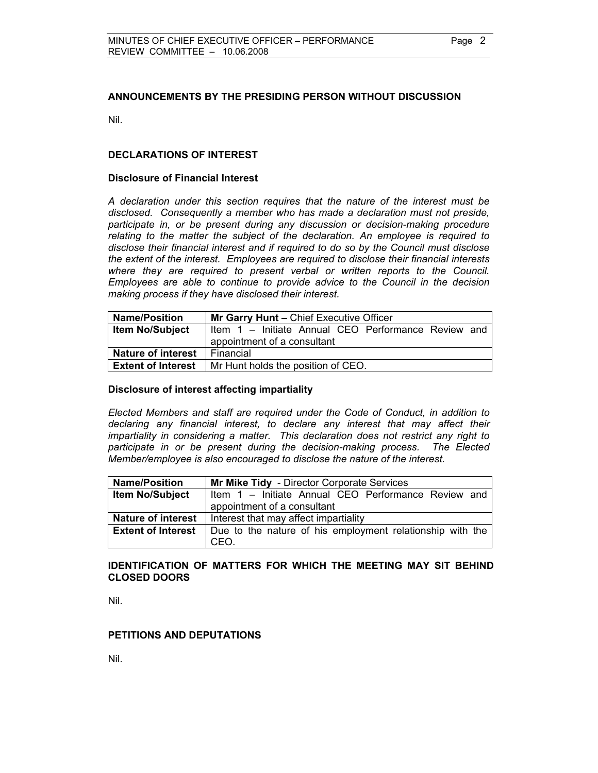#### **ANNOUNCEMENTS BY THE PRESIDING PERSON WITHOUT DISCUSSION**

Nil.

#### **DECLARATIONS OF INTEREST**

#### **Disclosure of Financial Interest**

*A declaration under this section requires that the nature of the interest must be disclosed. Consequently a member who has made a declaration must not preside, participate in, or be present during any discussion or decision-making procedure relating to the matter the subject of the declaration. An employee is required to disclose their financial interest and if required to do so by the Council must disclose the extent of the interest. Employees are required to disclose their financial interests where they are required to present verbal or written reports to the Council. Employees are able to continue to provide advice to the Council in the decision making process if they have disclosed their interest.* 

| <b>Name/Position</b>      | Mr Garry Hunt - Chief Executive Officer             |
|---------------------------|-----------------------------------------------------|
| <b>Item No/Subject</b>    | Item 1 – Initiate Annual CEO Performance Review and |
|                           | appointment of a consultant                         |
| <b>Nature of interest</b> | Financial                                           |
| <b>Extent of Interest</b> | Mr Hunt holds the position of CEO.                  |

#### **Disclosure of interest affecting impartiality**

*Elected Members and staff are required under the Code of Conduct, in addition to declaring any financial interest, to declare any interest that may affect their impartiality in considering a matter. This declaration does not restrict any right to participate in or be present during the decision-making process. The Elected Member/employee is also encouraged to disclose the nature of the interest.* 

| <b>Name/Position</b>      | Mr Mike Tidy - Director Corporate Services                |
|---------------------------|-----------------------------------------------------------|
| <b>Item No/Subject</b>    | Item 1 – Initiate Annual CEO Performance Review and       |
|                           | appointment of a consultant                               |
| <b>Nature of interest</b> | Interest that may affect impartiality                     |
| <b>Extent of Interest</b> | Due to the nature of his employment relationship with the |
|                           | CEO.                                                      |

#### **IDENTIFICATION OF MATTERS FOR WHICH THE MEETING MAY SIT BEHIND CLOSED DOORS**

Nil.

#### **PETITIONS AND DEPUTATIONS**

Nil.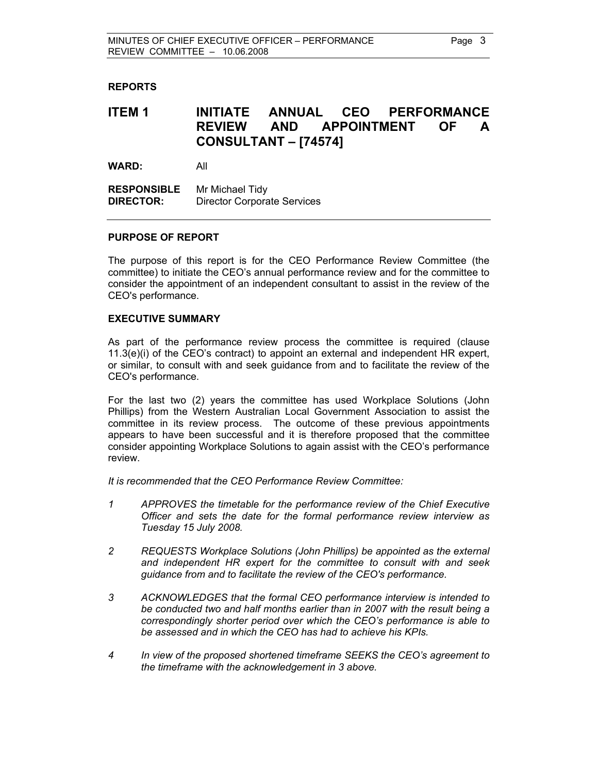#### **REPORTS**

## **ITEM 1 INITIATE ANNUAL CEO PERFORMANCE REVIEW AND APPOINTMENT OF A CONSULTANT – [74574]**

**WARD:** All

**RESPONSIBLE** Mr Michael Tidy **DIRECTOR:** Director Corporate Services

#### **PURPOSE OF REPORT**

The purpose of this report is for the CEO Performance Review Committee (the committee) to initiate the CEO's annual performance review and for the committee to consider the appointment of an independent consultant to assist in the review of the CEO's performance.

#### **EXECUTIVE SUMMARY**

As part of the performance review process the committee is required (clause 11.3(e)(i) of the CEO's contract) to appoint an external and independent HR expert, or similar, to consult with and seek guidance from and to facilitate the review of the CEO's performance.

For the last two (2) years the committee has used Workplace Solutions (John Phillips) from the Western Australian Local Government Association to assist the committee in its review process. The outcome of these previous appointments appears to have been successful and it is therefore proposed that the committee consider appointing Workplace Solutions to again assist with the CEO's performance review.

*It is recommended that the CEO Performance Review Committee:* 

- *1 APPROVES the timetable for the performance review of the Chief Executive Officer and sets the date for the formal performance review interview as Tuesday 15 July 2008.*
- *2 REQUESTS Workplace Solutions (John Phillips) be appointed as the external and independent HR expert for the committee to consult with and seek guidance from and to facilitate the review of the CEO's performance.*
- *3 ACKNOWLEDGES that the formal CEO performance interview is intended to be conducted two and half months earlier than in 2007 with the result being a correspondingly shorter period over which the CEO's performance is able to be assessed and in which the CEO has had to achieve his KPIs.*
- *4 In view of the proposed shortened timeframe SEEKS the CEO's agreement to the timeframe with the acknowledgement in 3 above.*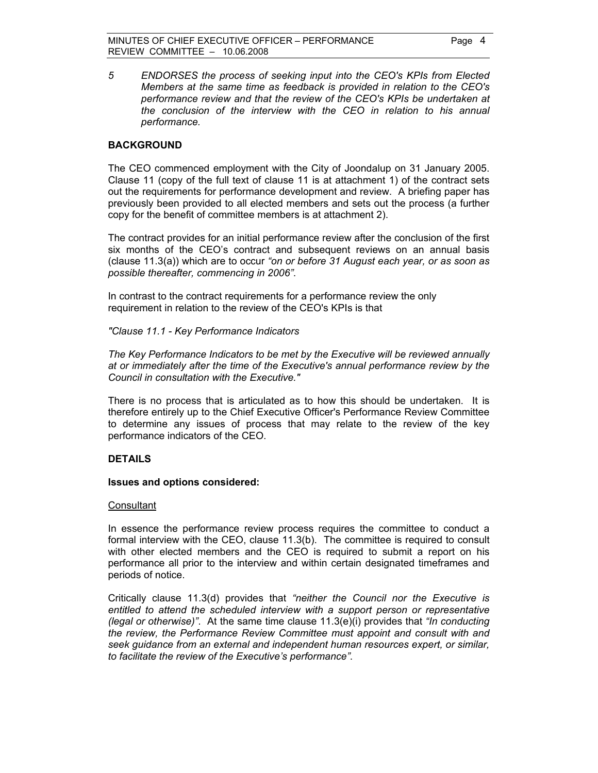*5 ENDORSES the process of seeking input into the CEO's KPIs from Elected Members at the same time as feedback is provided in relation to the CEO's performance review and that the review of the CEO's KPIs be undertaken at the conclusion of the interview with the CEO in relation to his annual performance.* 

#### **BACKGROUND**

The CEO commenced employment with the City of Joondalup on 31 January 2005. Clause 11 (copy of the full text of clause 11 is at attachment 1) of the contract sets out the requirements for performance development and review. A briefing paper has previously been provided to all elected members and sets out the process (a further copy for the benefit of committee members is at attachment 2).

The contract provides for an initial performance review after the conclusion of the first six months of the CEO's contract and subsequent reviews on an annual basis (clause 11.3(a)) which are to occur *"on or before 31 August each year, or as soon as possible thereafter, commencing in 2006"*.

In contrast to the contract requirements for a performance review the only requirement in relation to the review of the CEO's KPIs is that

*"Clause 11.1 - Key Performance Indicators* 

*The Key Performance Indicators to be met by the Executive will be reviewed annually at or immediately after the time of the Executive's annual performance review by the Council in consultation with the Executive."* 

There is no process that is articulated as to how this should be undertaken. It is therefore entirely up to the Chief Executive Officer's Performance Review Committee to determine any issues of process that may relate to the review of the key performance indicators of the CEO.

### **DETAILS**

#### **Issues and options considered:**

#### **Consultant**

In essence the performance review process requires the committee to conduct a formal interview with the CEO, clause 11.3(b). The committee is required to consult with other elected members and the CEO is required to submit a report on his performance all prior to the interview and within certain designated timeframes and periods of notice.

Critically clause 11.3(d) provides that *"neither the Council nor the Executive is entitled to attend the scheduled interview with a support person or representative (legal or otherwise)"*. At the same time clause 11.3(e)(i) provides that *"In conducting the review, the Performance Review Committee must appoint and consult with and seek guidance from an external and independent human resources expert, or similar, to facilitate the review of the Executive's performance"*.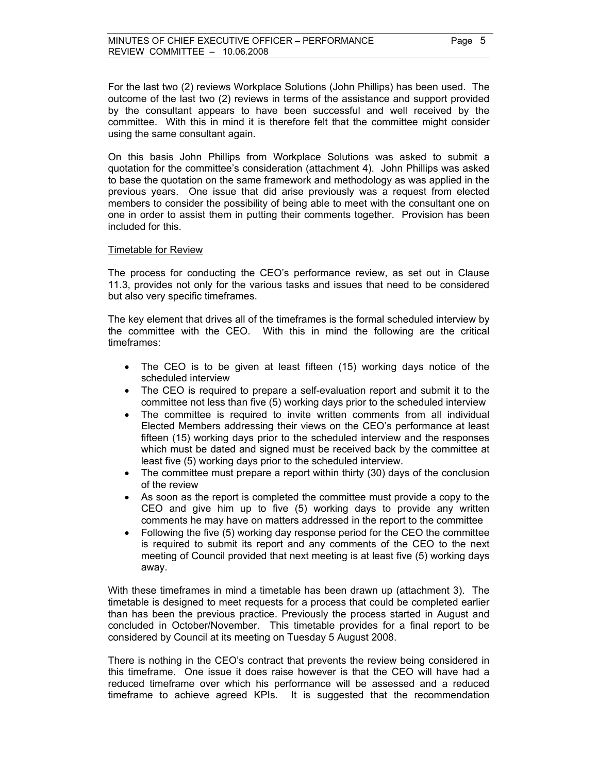For the last two (2) reviews Workplace Solutions (John Phillips) has been used. The outcome of the last two (2) reviews in terms of the assistance and support provided by the consultant appears to have been successful and well received by the committee. With this in mind it is therefore felt that the committee might consider using the same consultant again.

On this basis John Phillips from Workplace Solutions was asked to submit a quotation for the committee's consideration (attachment 4). John Phillips was asked to base the quotation on the same framework and methodology as was applied in the previous years. One issue that did arise previously was a request from elected members to consider the possibility of being able to meet with the consultant one on one in order to assist them in putting their comments together. Provision has been included for this.

#### Timetable for Review

The process for conducting the CEO's performance review, as set out in Clause 11.3, provides not only for the various tasks and issues that need to be considered but also very specific timeframes.

The key element that drives all of the timeframes is the formal scheduled interview by the committee with the CEO. With this in mind the following are the critical timeframes:

- The CEO is to be given at least fifteen (15) working days notice of the scheduled interview
- The CEO is required to prepare a self-evaluation report and submit it to the committee not less than five (5) working days prior to the scheduled interview
- The committee is required to invite written comments from all individual Elected Members addressing their views on the CEO's performance at least fifteen (15) working days prior to the scheduled interview and the responses which must be dated and signed must be received back by the committee at least five (5) working days prior to the scheduled interview.
- The committee must prepare a report within thirty (30) days of the conclusion of the review
- As soon as the report is completed the committee must provide a copy to the CEO and give him up to five (5) working days to provide any written comments he may have on matters addressed in the report to the committee
- Following the five (5) working day response period for the CEO the committee is required to submit its report and any comments of the CEO to the next meeting of Council provided that next meeting is at least five (5) working days away.

With these timeframes in mind a timetable has been drawn up (attachment 3). The timetable is designed to meet requests for a process that could be completed earlier than has been the previous practice. Previously the process started in August and concluded in October/November. This timetable provides for a final report to be considered by Council at its meeting on Tuesday 5 August 2008.

There is nothing in the CEO's contract that prevents the review being considered in this timeframe. One issue it does raise however is that the CEO will have had a reduced timeframe over which his performance will be assessed and a reduced timeframe to achieve agreed KPIs. It is suggested that the recommendation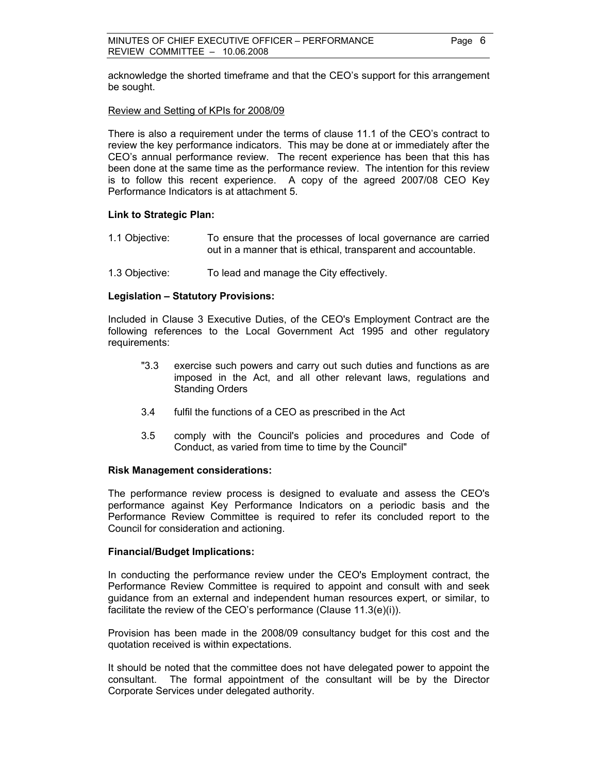acknowledge the shorted timeframe and that the CEO's support for this arrangement be sought.

#### Review and Setting of KPIs for 2008/09

There is also a requirement under the terms of clause 11.1 of the CEO's contract to review the key performance indicators. This may be done at or immediately after the CEO's annual performance review. The recent experience has been that this has been done at the same time as the performance review. The intention for this review is to follow this recent experience. A copy of the agreed 2007/08 CEO Key Performance Indicators is at attachment 5.

#### **Link to Strategic Plan:**

- 1.1 Objective: To ensure that the processes of local governance are carried out in a manner that is ethical, transparent and accountable.
- 1.3 Objective: To lead and manage the City effectively.

#### **Legislation – Statutory Provisions:**

Included in Clause 3 Executive Duties, of the CEO's Employment Contract are the following references to the Local Government Act 1995 and other regulatory requirements:

- "3.3 exercise such powers and carry out such duties and functions as are imposed in the Act, and all other relevant laws, regulations and Standing Orders
- 3.4 fulfil the functions of a CEO as prescribed in the Act
- 3.5 comply with the Council's policies and procedures and Code of Conduct, as varied from time to time by the Council"

#### **Risk Management considerations:**

The performance review process is designed to evaluate and assess the CEO's performance against Key Performance Indicators on a periodic basis and the Performance Review Committee is required to refer its concluded report to the Council for consideration and actioning.

#### **Financial/Budget Implications:**

In conducting the performance review under the CEO's Employment contract, the Performance Review Committee is required to appoint and consult with and seek guidance from an external and independent human resources expert, or similar, to facilitate the review of the CEO's performance (Clause 11.3(e)(i)).

Provision has been made in the 2008/09 consultancy budget for this cost and the quotation received is within expectations.

It should be noted that the committee does not have delegated power to appoint the consultant. The formal appointment of the consultant will be by the Director Corporate Services under delegated authority.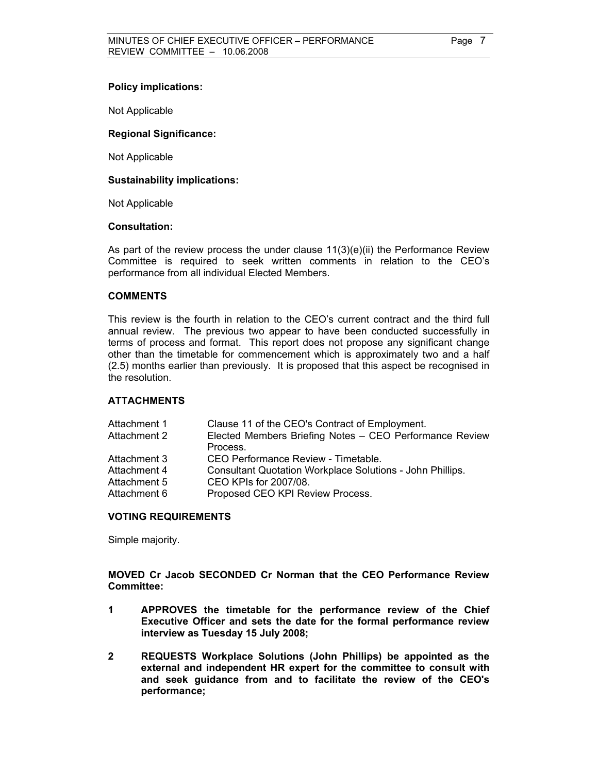#### **Policy implications:**

Not Applicable

#### **Regional Significance:**

Not Applicable

#### **Sustainability implications:**

Not Applicable

#### **Consultation:**

As part of the review process the under clause 11(3)(e)(ii) the Performance Review Committee is required to seek written comments in relation to the CEO's performance from all individual Elected Members.

#### **COMMENTS**

This review is the fourth in relation to the CEO's current contract and the third full annual review. The previous two appear to have been conducted successfully in terms of process and format. This report does not propose any significant change other than the timetable for commencement which is approximately two and a half (2.5) months earlier than previously. It is proposed that this aspect be recognised in the resolution.

#### **ATTACHMENTS**

| Attachment 1 | Clause 11 of the CEO's Contract of Employment.                   |
|--------------|------------------------------------------------------------------|
| Attachment 2 | Elected Members Briefing Notes - CEO Performance Review          |
|              | Process.                                                         |
| Attachment 3 | CEO Performance Review - Timetable.                              |
| Attachment 4 | <b>Consultant Quotation Workplace Solutions - John Phillips.</b> |
| Attachment 5 | CEO KPIs for 2007/08.                                            |
| Attachment 6 | Proposed CEO KPI Review Process.                                 |
|              |                                                                  |

#### **VOTING REQUIREMENTS**

Simple majority.

**MOVED Cr Jacob SECONDED Cr Norman that the CEO Performance Review Committee:** 

- **1 APPROVES the timetable for the performance review of the Chief Executive Officer and sets the date for the formal performance review interview as Tuesday 15 July 2008;**
- **2 REQUESTS Workplace Solutions (John Phillips) be appointed as the external and independent HR expert for the committee to consult with and seek guidance from and to facilitate the review of the CEO's performance;**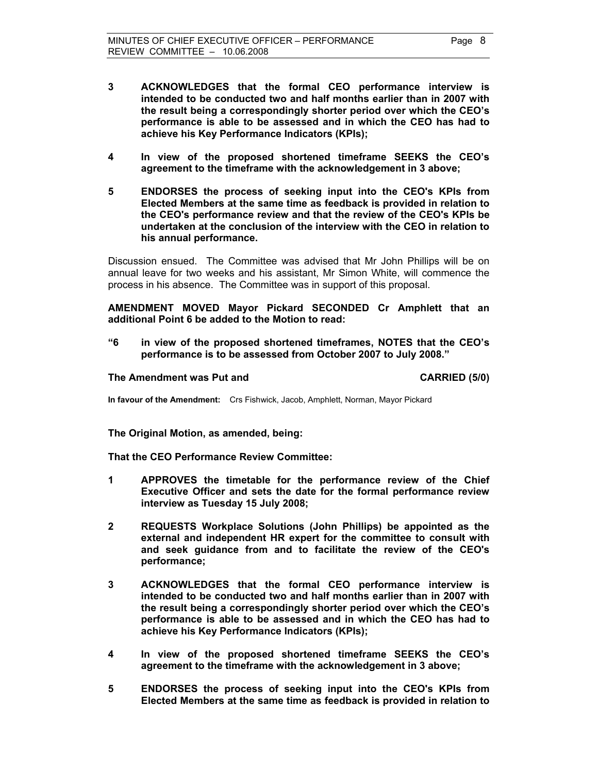- **3 ACKNOWLEDGES that the formal CEO performance interview is intended to be conducted two and half months earlier than in 2007 with the result being a correspondingly shorter period over which the CEO's performance is able to be assessed and in which the CEO has had to achieve his Key Performance Indicators (KPIs);**
- **4 In view of the proposed shortened timeframe SEEKS the CEO's agreement to the timeframe with the acknowledgement in 3 above;**
- **5 ENDORSES the process of seeking input into the CEO's KPIs from Elected Members at the same time as feedback is provided in relation to the CEO's performance review and that the review of the CEO's KPIs be undertaken at the conclusion of the interview with the CEO in relation to his annual performance.**

Discussion ensued. The Committee was advised that Mr John Phillips will be on annual leave for two weeks and his assistant, Mr Simon White, will commence the process in his absence. The Committee was in support of this proposal.

**AMENDMENT MOVED Mayor Pickard SECONDED Cr Amphlett that an additional Point 6 be added to the Motion to read:** 

**"6 in view of the proposed shortened timeframes, NOTES that the CEO's performance is to be assessed from October 2007 to July 2008."** 

#### **The Amendment was Put and CARRIED (5/0) CARRIED (5/0)**

**In favour of the Amendment:** Crs Fishwick, Jacob, Amphlett, Norman, Mayor Pickard

**The Original Motion, as amended, being:** 

**That the CEO Performance Review Committee:** 

- **1 APPROVES the timetable for the performance review of the Chief Executive Officer and sets the date for the formal performance review interview as Tuesday 15 July 2008;**
- **2 REQUESTS Workplace Solutions (John Phillips) be appointed as the external and independent HR expert for the committee to consult with and seek guidance from and to facilitate the review of the CEO's performance;**
- **3 ACKNOWLEDGES that the formal CEO performance interview is intended to be conducted two and half months earlier than in 2007 with the result being a correspondingly shorter period over which the CEO's performance is able to be assessed and in which the CEO has had to achieve his Key Performance Indicators (KPIs);**
- **4 In view of the proposed shortened timeframe SEEKS the CEO's agreement to the timeframe with the acknowledgement in 3 above;**
- **5 ENDORSES the process of seeking input into the CEO's KPIs from Elected Members at the same time as feedback is provided in relation to**